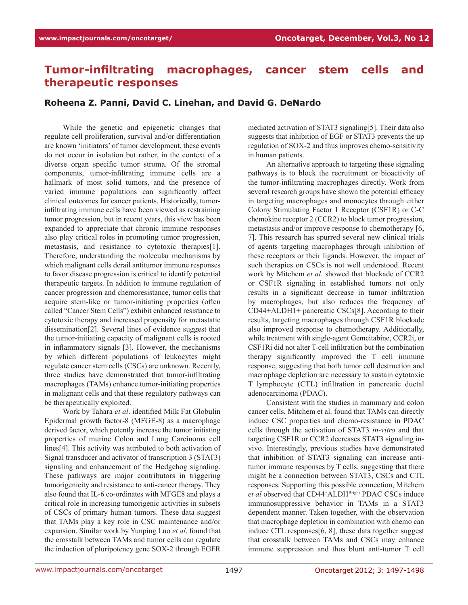## **Tumor-infiltrating macrophages, cancer stem cells and therapeutic responses**

## **Roheena Z. Panni, David C. Linehan, and David G. DeNardo**

While the genetic and epigenetic changes that regulate cell proliferation, survival and/or differentiation are known 'initiators' of tumor development, these events do not occur in isolation but rather, in the context of a diverse organ specific tumor stroma. Of the stromal components, tumor-infiltrating immune cells are a hallmark of most solid tumors, and the presence of varied immune populations can significantly affect clinical outcomes for cancer patients. Historically, tumorinfiltrating immune cells have been viewed as restraining tumor progression, but in recent years, this view has been expanded to appreciate that chronic immune responses also play critical roles in promoting tumor progression, metastasis, and resistance to cytotoxic therapies[1]. Therefore, understanding the molecular mechanisms by which malignant cells derail antitumor immune responses to favor disease progression is critical to identify potential therapeutic targets. In addition to immune regulation of cancer progression and chemoresistance, tumor cells that acquire stem-like or tumor-initiating properties (often called "Cancer Stem Cells") exhibit enhanced resistance to cytotoxic therapy and increased propensity for metastatic dissemination[2]. Several lines of evidence suggest that the tumor-initiating capacity of malignant cells is rooted in inflammatory signals [3]. However, the mechanisms by which different populations of leukocytes might regulate cancer stem cells (CSCs) are unknown. Recently, three studies have demonstrated that tumor-infiltrating macrophages (TAMs) enhance tumor-initiating properties in malignant cells and that these regulatory pathways can be therapeutically exploited.

Work by Tahara *et al*. identified Milk Fat Globulin Epidermal growth factor-8 (MFGE-8) as a macrophage derived factor, which potently increase the tumor initiating properties of murine Colon and Lung Carcinoma cell lines[4]. This activity was attributed to both activation of Signal transducer and activator of transcription 3 (STAT3) signaling and enhancement of the Hedgehog signaling. These pathways are major contributors in triggering tumorigenicity and resistance to anti-cancer therapy. They also found that IL-6 co-ordinates with MFGE8 and plays a critical role in increasing tumorigenic activities in subsets of CSCs of primary human tumors. These data suggest that TAMs play a key role in CSC maintenance and/or expansion. Similar work by Yunping Luo *et al*. found that the crosstalk between TAMs and tumor cells can regulate the induction of pluripotency gene SOX-2 through EGFR

mediated activation of STAT3 signaling[5]. Their data also suggests that inhibition of EGF or STAT3 prevents the up regulation of SOX-2 and thus improves chemo-sensitivity in human patients.

An alternative approach to targeting these signaling pathways is to block the recruitment or bioactivity of the tumor-infiltrating macrophages directly. Work from several research groups have shown the potential efficacy in targeting macrophages and monocytes through either Colony Stimulating Factor 1 Receptor (CSF1R) or C-C chemokine receptor 2 (CCR2) to block tumor progression, metastasis and/or improve response to chemotherapy [6, 7]. This research has spurred several new clinical trials of agents targeting macrophages through inhibition of these receptors or their ligands. However, the impact of such therapies on CSCs is not well understood. Recent work by Mitchem *et al*. showed that blockade of CCR2 or CSF1R signaling in established tumors not only results in a significant decrease in tumor infiltration by macrophages, but also reduces the frequency of CD44+ALDH1+ pancreatic CSCs[8]. According to their results, targeting macrophages through CSF1R blockade also improved response to chemotherapy. Additionally, while treatment with single-agent Gemcitabine, CCR2i, or CSF1Ri did not alter T-cell infiltration but the combination therapy significantly improved the T cell immune response, suggesting that both tumor cell destruction and macrophage depletion are necessary to sustain cytotoxic T lymphocyte (CTL) infiltration in pancreatic ductal adenocarcinoma (PDAC).

Consistent with the studies in mammary and colon cancer cells, Mitchem et al. found that TAMs can directly induce CSC properties and chemo-resistance in PDAC cells through the activation of STAT3 *in-vitro* and that targeting CSF1R or CCR2 decreases STAT3 signaling invivo. Interestingly, previous studies have demonstrated that inhibition of STAT3 signaling can increase antitumor immune responses by T cells, suggesting that there might be a connection between STAT3, CSCs and CTL responses. Supporting this possible connection, Mitchem et al observed that CD44<sup>+</sup>ALDH<sup>Bright</sup> PDAC CSCs induce immunosuppressive behavior in TAMs in a STAT3 dependent manner. Taken together, with the observation that macrophage depletion in combination with chemo can induce CTL responses[6, 8], these data together suggest that crosstalk between TAMs and CSCs may enhance immune suppression and thus blunt anti-tumor T cell